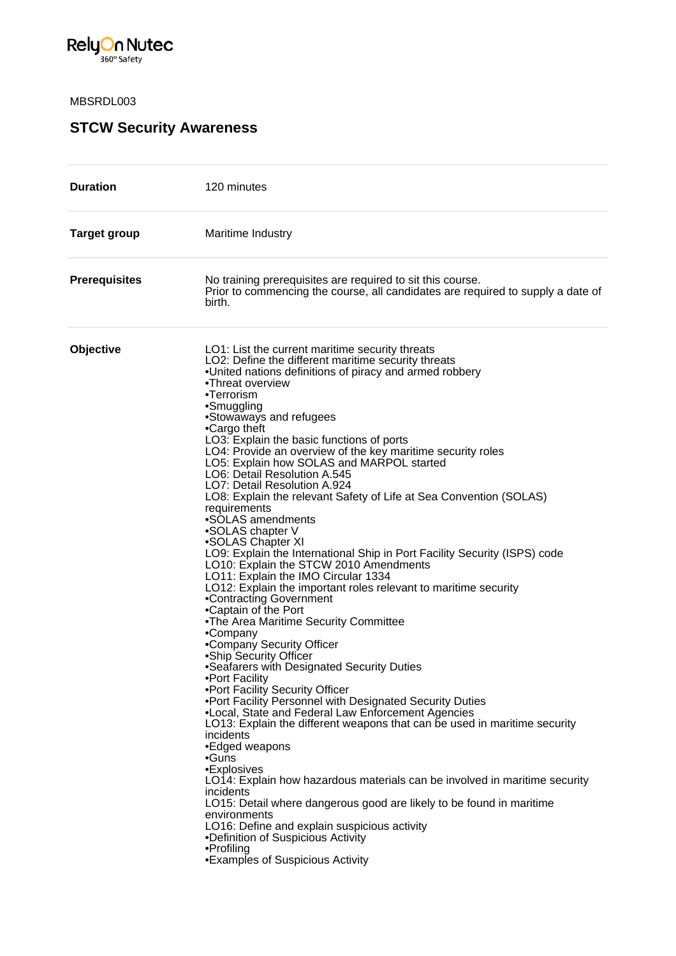

## MBSRDL003

## **STCW Security Awareness**

| <b>Duration</b>      | 120 minutes                                                                                                                                                                                                                                                                                                                                                                                                                                                                                                                                                                                                                                                                                                                                                                                                                                                                                                                                                                                                                                                                                                                                                                                                                                                                                                                                                                                                                                                                                                                                                                                                                                                                                                                     |
|----------------------|---------------------------------------------------------------------------------------------------------------------------------------------------------------------------------------------------------------------------------------------------------------------------------------------------------------------------------------------------------------------------------------------------------------------------------------------------------------------------------------------------------------------------------------------------------------------------------------------------------------------------------------------------------------------------------------------------------------------------------------------------------------------------------------------------------------------------------------------------------------------------------------------------------------------------------------------------------------------------------------------------------------------------------------------------------------------------------------------------------------------------------------------------------------------------------------------------------------------------------------------------------------------------------------------------------------------------------------------------------------------------------------------------------------------------------------------------------------------------------------------------------------------------------------------------------------------------------------------------------------------------------------------------------------------------------------------------------------------------------|
| <b>Target group</b>  | Maritime Industry                                                                                                                                                                                                                                                                                                                                                                                                                                                                                                                                                                                                                                                                                                                                                                                                                                                                                                                                                                                                                                                                                                                                                                                                                                                                                                                                                                                                                                                                                                                                                                                                                                                                                                               |
| <b>Prerequisites</b> | No training prerequisites are required to sit this course.<br>Prior to commencing the course, all candidates are required to supply a date of<br>birth.                                                                                                                                                                                                                                                                                                                                                                                                                                                                                                                                                                                                                                                                                                                                                                                                                                                                                                                                                                                                                                                                                                                                                                                                                                                                                                                                                                                                                                                                                                                                                                         |
| Objective            | LO1: List the current maritime security threats<br>LO2: Define the different maritime security threats<br>.United nations definitions of piracy and armed robbery<br>•Threat overview<br>•Terrorism<br>•Smuggling<br>•Stowaways and refugees<br>•Cargo theft<br>LO3: Explain the basic functions of ports<br>LO4: Provide an overview of the key maritime security roles<br>LO5: Explain how SOLAS and MARPOL started<br>LO6: Detail Resolution A.545<br>LO7: Detail Resolution A.924<br>LO8: Explain the relevant Safety of Life at Sea Convention (SOLAS)<br>requirements<br>•SOLAS amendments<br>•SOLAS chapter V<br>•SOLAS Chapter XI<br>LO9: Explain the International Ship in Port Facility Security (ISPS) code<br>LO10: Explain the STCW 2010 Amendments<br>LO11: Explain the IMO Circular 1334<br>LO12: Explain the important roles relevant to maritime security<br>•Contracting Government<br>•Captain of the Port<br>.The Area Maritime Security Committee<br>•Company<br>•Company Security Officer<br>•Ship Security Officer<br>•Seafarers with Designated Security Duties<br>•Port Facility<br>.Port Facility Security Officer<br>. Port Facility Personnel with Designated Security Duties<br>. Local, State and Federal Law Enforcement Agencies<br>LO13: Explain the different weapons that can be used in maritime security<br>incidents<br>•Edged weapons<br>•Guns<br>•Explosives<br>LO14: Explain how hazardous materials can be involved in maritime security<br>incidents<br>LO15: Detail where dangerous good are likely to be found in maritime<br>environments<br>LO16: Define and explain suspicious activity<br>•Definition of Suspicious Activity<br>•Profiling<br>•Examples of Suspicious Activity |